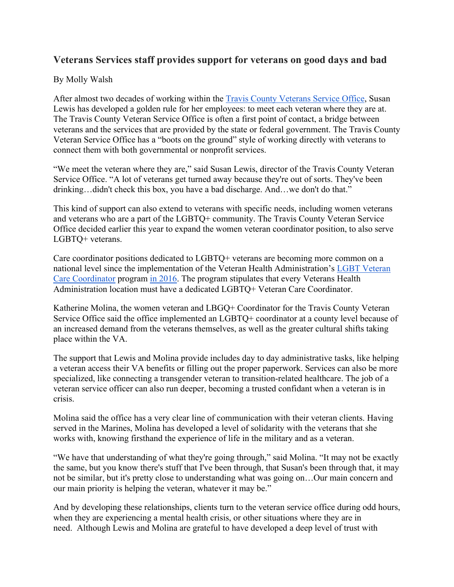## **Veterans Services staff provides support for veterans on good days and bad**

## By Molly Walsh

After almost two decades of working within the [Travis County Veterans Service Office,](https://www.traviscountytx.gov/veterans-services) Susan Lewis has developed a golden rule for her employees: to meet each veteran where they are at. The Travis County Veteran Service Office is often a first point of contact, a bridge between veterans and the services that are provided by the state or federal government. The Travis County Veteran Service Office has a "boots on the ground" style of working directly with veterans to connect them with both governmental or nonprofit services.

"We meet the veteran where they are," said Susan Lewis, director of the Travis County Veteran Service Office. "A lot of veterans get turned away because they're out of sorts. They've been drinking…didn't check this box, you have a bad discharge. And…we don't do that."

This kind of support can also extend to veterans with specific needs, including women veterans and veterans who are a part of the LGBTQ+ community. The Travis County Veteran Service Office decided earlier this year to expand the women veteran coordinator position, to also serve LGBTQ+ veterans.

Care coordinator positions dedicated to LGBTQ+ veterans are becoming more common on a national level since the implementation of the Veteran Health Administration's [LGBT Veteran](https://www.patientcare.va.gov/LGBT/VAFacilities.asp)  [Care Coordinator](https://www.patientcare.va.gov/LGBT/VAFacilities.asp) program [in 2016.](https://pubmed.ncbi.nlm.nih.gov/31343189/) The program stipulates that every Veterans Health Administration location must have a dedicated LGBTQ+ Veteran Care Coordinator.

Katherine Molina, the women veteran and LBGQ+ Coordinator for the Travis County Veteran Service Office said the office implemented an LGBTQ+ coordinator at a county level because of an increased demand from the veterans themselves, as well as the greater cultural shifts taking place within the VA.

The support that Lewis and Molina provide includes day to day administrative tasks, like helping a veteran access their VA benefits or filling out the proper paperwork. Services can also be more specialized, like connecting a transgender veteran to transition-related healthcare. The job of a veteran service officer can also run deeper, becoming a trusted confidant when a veteran is in crisis.

Molina said the office has a very clear line of communication with their veteran clients. Having served in the Marines, Molina has developed a level of solidarity with the veterans that she works with, knowing firsthand the experience of life in the military and as a veteran.

"We have that understanding of what they're going through," said Molina. "It may not be exactly the same, but you know there's stuff that I've been through, that Susan's been through that, it may not be similar, but it's pretty close to understanding what was going on…Our main concern and our main priority is helping the veteran, whatever it may be."

And by developing these relationships, clients turn to the veteran service office during odd hours, when they are experiencing a mental health crisis, or other situations where they are in need. Although Lewis and Molina are grateful to have developed a deep level of trust with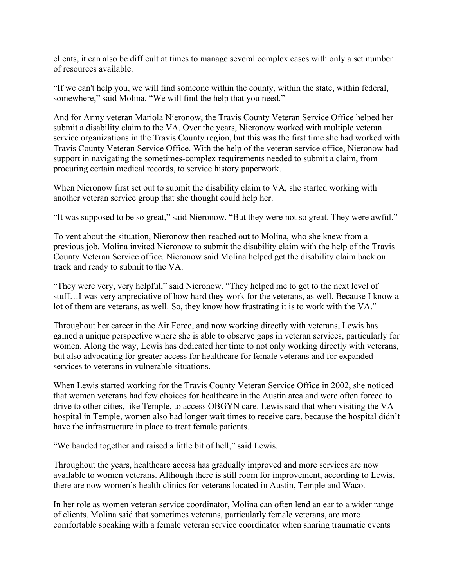clients, it can also be difficult at times to manage several complex cases with only a set number of resources available.

"If we can't help you, we will find someone within the county, within the state, within federal, somewhere," said Molina. "We will find the help that you need."

And for Army veteran Mariola Nieronow, the Travis County Veteran Service Office helped her submit a disability claim to the VA. Over the years, Nieronow worked with multiple veteran service organizations in the Travis County region, but this was the first time she had worked with Travis County Veteran Service Office. With the help of the veteran service office, Nieronow had support in navigating the sometimes-complex requirements needed to submit a claim, from procuring certain medical records, to service history paperwork.

When Nieronow first set out to submit the disability claim to VA, she started working with another veteran service group that she thought could help her.

"It was supposed to be so great," said Nieronow. "But they were not so great. They were awful."

To vent about the situation, Nieronow then reached out to Molina, who she knew from a previous job. Molina invited Nieronow to submit the disability claim with the help of the Travis County Veteran Service office. Nieronow said Molina helped get the disability claim back on track and ready to submit to the VA.

"They were very, very helpful," said Nieronow. "They helped me to get to the next level of stuff…I was very appreciative of how hard they work for the veterans, as well. Because I know a lot of them are veterans, as well. So, they know how frustrating it is to work with the VA."

Throughout her career in the Air Force, and now working directly with veterans, Lewis has gained a unique perspective where she is able to observe gaps in veteran services, particularly for women. Along the way, Lewis has dedicated her time to not only working directly with veterans, but also advocating for greater access for healthcare for female veterans and for expanded services to veterans in vulnerable situations.

When Lewis started working for the Travis County Veteran Service Office in 2002, she noticed that women veterans had few choices for healthcare in the Austin area and were often forced to drive to other cities, like Temple, to access OBGYN care. Lewis said that when visiting the VA hospital in Temple, women also had longer wait times to receive care, because the hospital didn't have the infrastructure in place to treat female patients.

"We banded together and raised a little bit of hell," said Lewis.

Throughout the years, healthcare access has gradually improved and more services are now available to women veterans. Although there is still room for improvement, according to Lewis, there are now women's health clinics for veterans located in Austin, Temple and Waco.

In her role as women veteran service coordinator, Molina can often lend an ear to a wider range of clients. Molina said that sometimes veterans, particularly female veterans, are more comfortable speaking with a female veteran service coordinator when sharing traumatic events